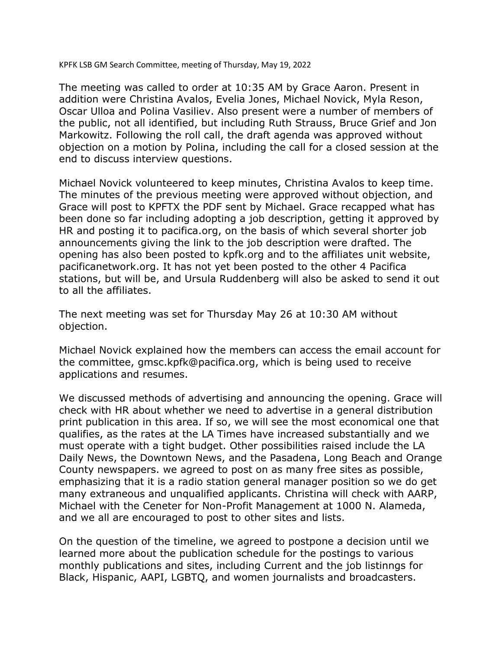KPFK LSB GM Search Committee, meeting of Thursday, May 19, 2022

The meeting was called to order at 10:35 AM by Grace Aaron. Present in addition were Christina Avalos, Evelia Jones, Michael Novick, Myla Reson, Oscar Ulloa and Polina Vasiliev. Also present were a number of members of the public, not all identified, but including Ruth Strauss, Bruce Grief and Jon Markowitz. Following the roll call, the draft agenda was approved without objection on a motion by Polina, including the call for a closed session at the end to discuss interview questions.

Michael Novick volunteered to keep minutes, Christina Avalos to keep time. The minutes of the previous meeting were approved without objection, and Grace will post to KPFTX the PDF sent by Michael. Grace recapped what has been done so far including adopting a job description, getting it approved by HR and posting it to pacifica.org, on the basis of which several shorter job announcements giving the link to the job description were drafted. The opening has also been posted to kpfk.org and to the affiliates unit website, pacificanetwork.org. It has not yet been posted to the other 4 Pacifica stations, but will be, and Ursula Ruddenberg will also be asked to send it out to all the affiliates.

The next meeting was set for Thursday May 26 at 10:30 AM without objection.

Michael Novick explained how the members can access the email account for the committee, gmsc.kpfk@pacifica.org, which is being used to receive applications and resumes.

We discussed methods of advertising and announcing the opening. Grace will check with HR about whether we need to advertise in a general distribution print publication in this area. If so, we will see the most economical one that qualifies, as the rates at the LA Times have increased substantially and we must operate with a tight budget. Other possibilities raised include the LA Daily News, the Downtown News, and the Pasadena, Long Beach and Orange County newspapers. we agreed to post on as many free sites as possible, emphasizing that it is a radio station general manager position so we do get many extraneous and unqualified applicants. Christina will check with AARP, Michael with the Ceneter for Non-Profit Management at 1000 N. Alameda, and we all are encouraged to post to other sites and lists.

On the question of the timeline, we agreed to postpone a decision until we learned more about the publication schedule for the postings to various monthly publications and sites, including Current and the job listinngs for Black, Hispanic, AAPI, LGBTQ, and women journalists and broadcasters.